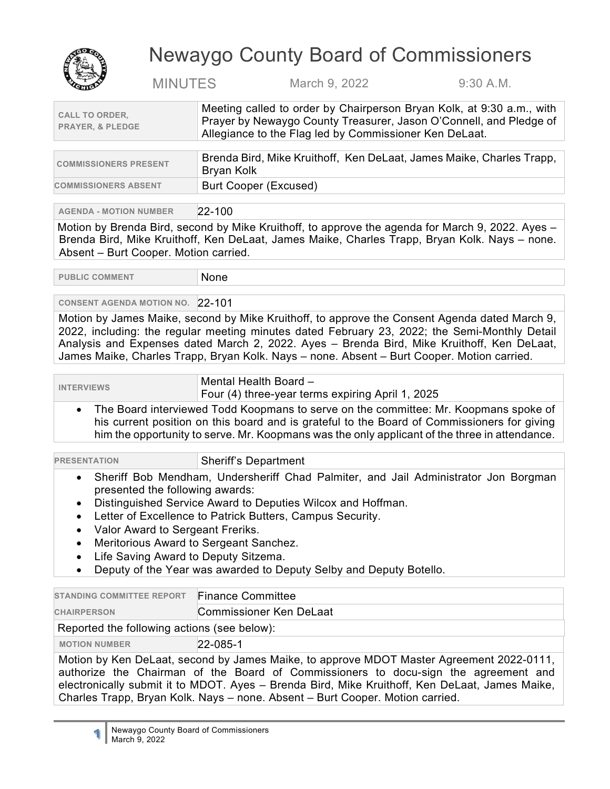

## Newaygo County Board of Commissioners

MINUTES March 9, 2022 9:30 A.M.

| <b>CALL TO ORDER,</b>       | Meeting called to order by Chairperson Bryan Kolk, at 9:30 a.m., with<br>Prayer by Newaygo County Treasurer, Jason O'Connell, and Pledge of |
|-----------------------------|---------------------------------------------------------------------------------------------------------------------------------------------|
| <b>PRAYER, &amp; PLEDGE</b> | Allegiance to the Flag led by Commissioner Ken DeLaat.                                                                                      |
|                             |                                                                                                                                             |
|                             | Brenda Bird, Mike Kruithoff, Ken Del aat, James Maike, Charles Trann                                                                        |

| <b>COMMISSIONERS PRESENT</b> | Brenda Bird, Mike Kruithoff, Ken DeLaat, James Maike, Charles Trapp,<br>Bryan Kolk |
|------------------------------|------------------------------------------------------------------------------------|
| <b>COMMISSIONERS ABSENT</b>  | Burt Cooper (Excused)                                                              |

**AGENDA - MOTION NUMBER** 22-100

Motion by Brenda Bird, second by Mike Kruithoff, to approve the agenda for March 9, 2022. Ayes – Brenda Bird, Mike Kruithoff, Ken DeLaat, James Maike, Charles Trapp, Bryan Kolk. Nays – none. Absent – Burt Cooper. Motion carried.

PUBLIC COMMENT None

**CONSENT AGENDA MOTION NO.** 22-101

Motion by James Maike, second by Mike Kruithoff, to approve the Consent Agenda dated March 9, 2022, including: the regular meeting minutes dated February 23, 2022; the Semi-Monthly Detail Analysis and Expenses dated March 2, 2022. Ayes – Brenda Bird, Mike Kruithoff, Ken DeLaat, James Maike, Charles Trapp, Bryan Kolk. Nays – none. Absent – Burt Cooper. Motion carried.

**INTERVIEWS** Mental Health Board –

Four (4) three-year terms expiring April 1, 2025

• The Board interviewed Todd Koopmans to serve on the committee: Mr. Koopmans spoke of his current position on this board and is grateful to the Board of Commissioners for giving him the opportunity to serve. Mr. Koopmans was the only applicant of the three in attendance.

| <b>PRESENTATION</b>             | <b>Sheriff's Department</b>                                                           |
|---------------------------------|---------------------------------------------------------------------------------------|
|                                 | • Sheriff Bob Mendham, Undersheriff Chad Palmiter, and Jail Administrator Jon Borgman |
| presented the following awards: |                                                                                       |

- Distinguished Service Award to Deputies Wilcox and Hoffman.
- Letter of Excellence to Patrick Butters, Campus Security.
- Valor Award to Sergeant Freriks.
- Meritorious Award to Sergeant Sanchez.
- Life Saving Award to Deputy Sitzema.
- Deputy of the Year was awarded to Deputy Selby and Deputy Botello.

| <b>STANDING COMMITTEE REPORT</b>                                                                                                                                                                                                                                                                                                                                   | <b>Finance Committee</b> |
|--------------------------------------------------------------------------------------------------------------------------------------------------------------------------------------------------------------------------------------------------------------------------------------------------------------------------------------------------------------------|--------------------------|
| <b>CHAIRPERSON</b>                                                                                                                                                                                                                                                                                                                                                 | Commissioner Ken DeLaat  |
| Reported the following actions (see below):                                                                                                                                                                                                                                                                                                                        |                          |
| <b>MOTION NUMBER</b>                                                                                                                                                                                                                                                                                                                                               | 22-085-1                 |
| Motion by Ken DeLaat, second by James Maike, to approve MDOT Master Agreement 2022-0111,<br>authorize the Chairman of the Board of Commissioners to docu-sign the agreement and<br>electronically submit it to MDOT. Ayes - Brenda Bird, Mike Kruithoff, Ken DeLaat, James Maike,<br>Charles Trapp, Bryan Kolk. Nays - none. Absent - Burt Cooper. Motion carried. |                          |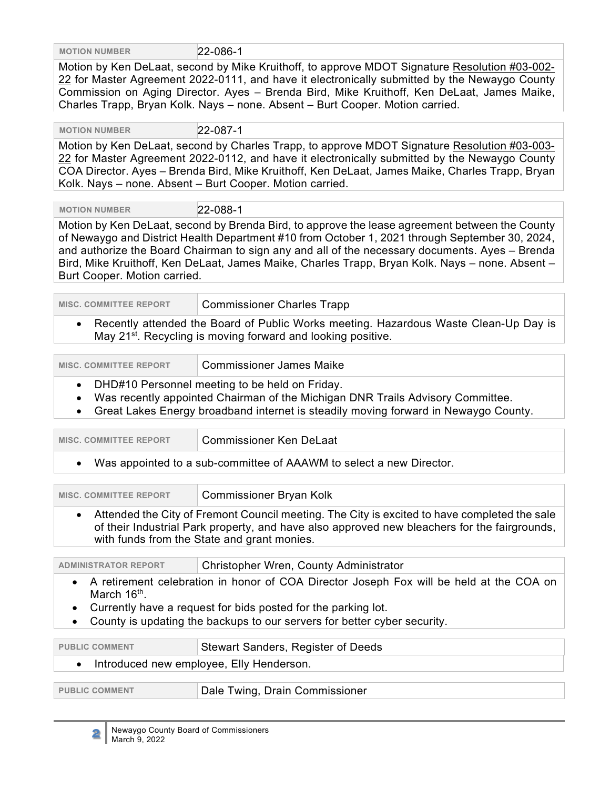**MOTION NUMBER** 22-086-1

Motion by Ken DeLaat, second by Mike Kruithoff, to approve MDOT Signature Resolution #03-002- 22 for Master Agreement 2022-0111, and have it electronically submitted by the Newaygo County Commission on Aging Director. Ayes – Brenda Bird, Mike Kruithoff, Ken DeLaat, James Maike, Charles Trapp, Bryan Kolk. Nays – none. Absent – Burt Cooper. Motion carried.

 **MOTION NUMBER** 22-087-1

Motion by Ken DeLaat, second by Charles Trapp, to approve MDOT Signature Resolution #03-003-22 for Master Agreement 2022-0112, and have it electronically submitted by the Newaygo County COA Director. Ayes – Brenda Bird, Mike Kruithoff, Ken DeLaat, James Maike, Charles Trapp, Bryan Kolk. Nays – none. Absent – Burt Cooper. Motion carried.

 **MOTION NUMBER** 22-088-1

Motion by Ken DeLaat, second by Brenda Bird, to approve the lease agreement between the County of Newaygo and District Health Department #10 from October 1, 2021 through September 30, 2024, and authorize the Board Chairman to sign any and all of the necessary documents. Ayes – Brenda Bird, Mike Kruithoff, Ken DeLaat, James Maike, Charles Trapp, Bryan Kolk. Nays – none. Absent – Burt Cooper. Motion carried.

**MISC. COMMITTEE REPORT | Commissioner Charles Trapp** 

• Recently attended the Board of Public Works meeting. Hazardous Waste Clean-Up Day is May 21<sup>st</sup>. Recycling is moving forward and looking positive.

| <b>MISC. COMMITTEE REPORT</b> | <b>Commissioner James Maike</b> |
|-------------------------------|---------------------------------|
|-------------------------------|---------------------------------|

- DHD#10 Personnel meeting to be held on Friday.
- Was recently appointed Chairman of the Michigan DNR Trails Advisory Committee.
- Great Lakes Energy broadband internet is steadily moving forward in Newaygo County.

| <b>MISC. COMMITTEE REPORT</b>                                         | <b>Commissioner Ken DeLaat</b> |
|-----------------------------------------------------------------------|--------------------------------|
| • Was appointed to a sub-committee of AAAWM to select a new Director. |                                |

| <b>MISC. COMMITTEE REPORT</b> | <b>Commissioner Bryan Kolk</b>                                                                                                                                                                                                              |
|-------------------------------|---------------------------------------------------------------------------------------------------------------------------------------------------------------------------------------------------------------------------------------------|
|                               | Attended the City of Fremont Council meeting. The City is excited to have completed the sale<br>of their Industrial Park property, and have also approved new bleachers for the fairgrounds,<br>with funds from the State and grant monies. |

| <b>ADMINISTRATOR REPORT</b> | Christopher Wren, County Administrator                                                    |
|-----------------------------|-------------------------------------------------------------------------------------------|
| March 16 <sup>th</sup> .    | • A retirement celebration in honor of COA Director Joseph Fox will be held at the COA on |

- Currently have a request for bids posted for the parking lot.
- County is updating the backups to our servers for better cyber security.

| <b>PUBLIC COMMENT</b>                      | Stewart Sanders, Register of Deeds |
|--------------------------------------------|------------------------------------|
| • Introduced new employee, Elly Henderson. |                                    |
|                                            |                                    |
| <b>PUBLIC COMMENT</b>                      | Dale Twing, Drain Commissioner     |